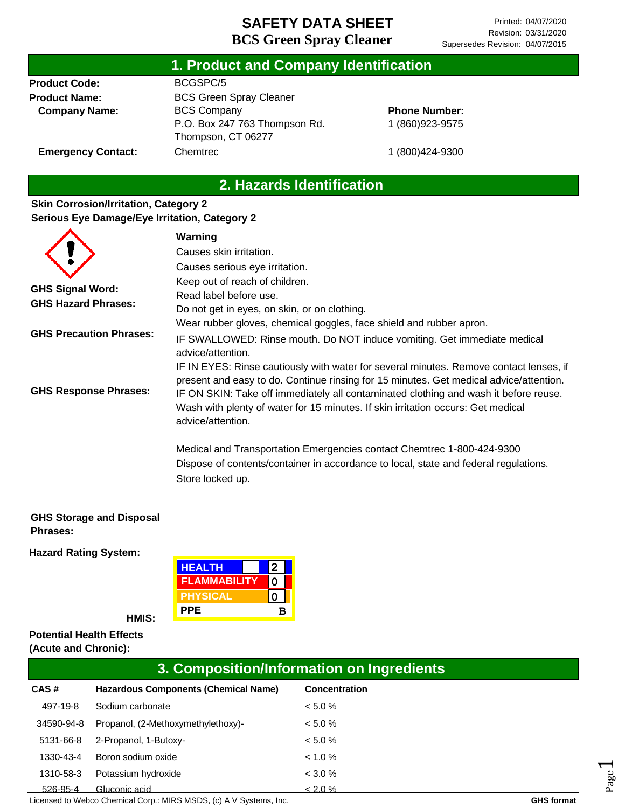| 1. Product and Company Identification |                                                     |                      |  |  |
|---------------------------------------|-----------------------------------------------------|----------------------|--|--|
| <b>Product Code:</b>                  | BCGSPC/5                                            |                      |  |  |
| <b>Product Name:</b>                  | <b>BCS Green Spray Cleaner</b>                      |                      |  |  |
| <b>Company Name:</b>                  | <b>BCS Company</b>                                  | <b>Phone Number:</b> |  |  |
|                                       | P.O. Box 247 763 Thompson Rd.<br>Thompson, CT 06277 | 1 (860) 923-9575     |  |  |
| <b>Emergency Contact:</b>             | Chemtrec                                            | 1 (800) 424-9300     |  |  |

# **2. Hazards Identification**

### **Skin Corrosion/Irritation, Category 2 Serious Eye Damage/Eye Irritation, Category 2**

|                                | Warning                                                                                                                                                                                                                                                                                                                                                                           |
|--------------------------------|-----------------------------------------------------------------------------------------------------------------------------------------------------------------------------------------------------------------------------------------------------------------------------------------------------------------------------------------------------------------------------------|
|                                | Causes skin irritation.                                                                                                                                                                                                                                                                                                                                                           |
|                                | Causes serious eye irritation.                                                                                                                                                                                                                                                                                                                                                    |
|                                | Keep out of reach of children.                                                                                                                                                                                                                                                                                                                                                    |
| <b>GHS Signal Word:</b>        | Read label before use.                                                                                                                                                                                                                                                                                                                                                            |
| <b>GHS Hazard Phrases:</b>     | Do not get in eyes, on skin, or on clothing.                                                                                                                                                                                                                                                                                                                                      |
|                                | Wear rubber gloves, chemical goggles, face shield and rubber apron.                                                                                                                                                                                                                                                                                                               |
| <b>GHS Precaution Phrases:</b> | IF SWALLOWED: Rinse mouth. Do NOT induce vomiting. Get immediate medical<br>advice/attention.                                                                                                                                                                                                                                                                                     |
| <b>GHS Response Phrases:</b>   | IF IN EYES: Rinse cautiously with water for several minutes. Remove contact lenses, if<br>present and easy to do. Continue rinsing for 15 minutes. Get medical advice/attention.<br>IF ON SKIN: Take off immediately all contaminated clothing and wash it before reuse.<br>Wash with plenty of water for 15 minutes. If skin irritation occurs: Get medical<br>advice/attention. |
|                                | Medical and Transportation Emergencies contact Chemtrec 1-800-424-9300<br>Dispose of contents/container in accordance to local, state and federal regulations.<br>Store locked up.                                                                                                                                                                                                |

#### **GHS Storage and Disposal Phrases:**

**Hazard Rating System:**

| <b>HEALTH</b>   |   |  |
|-----------------|---|--|
| FLAMMABILITY    |   |  |
| <b>PHYSICAL</b> |   |  |
| <b>PPE</b>      | R |  |

**HMIS:**

**Potential Health Effects (Acute and Chronic):**

| 3. Composition/Information on Ingredients |                                             |               |  |
|-------------------------------------------|---------------------------------------------|---------------|--|
| <b>CAS#</b>                               | <b>Hazardous Components (Chemical Name)</b> | Concentration |  |
| 497-19-8                                  | Sodium carbonate                            | < 5.0 %       |  |
| 34590-94-8                                | Propanol, (2-Methoxymethylethoxy)-          | $< 5.0 \%$    |  |
| 5131-66-8                                 | 2-Propanol, 1-Butoxy-                       | $< 5.0 \%$    |  |
| 1330-43-4                                 | Boron sodium oxide                          | $< 1.0 \%$    |  |
| 1310-58-3                                 | Potassium hydroxide                         | < 3.0 %       |  |
| 526-95-4                                  | Gluconic acid                               | $< 2.0 \%$    |  |

Licensed to Webco Chemical Corp.: MIRS MSDS, (c) A V Systems, Inc. **GHS** format **GHS** format

Page  $\overline{\phantom{0}}$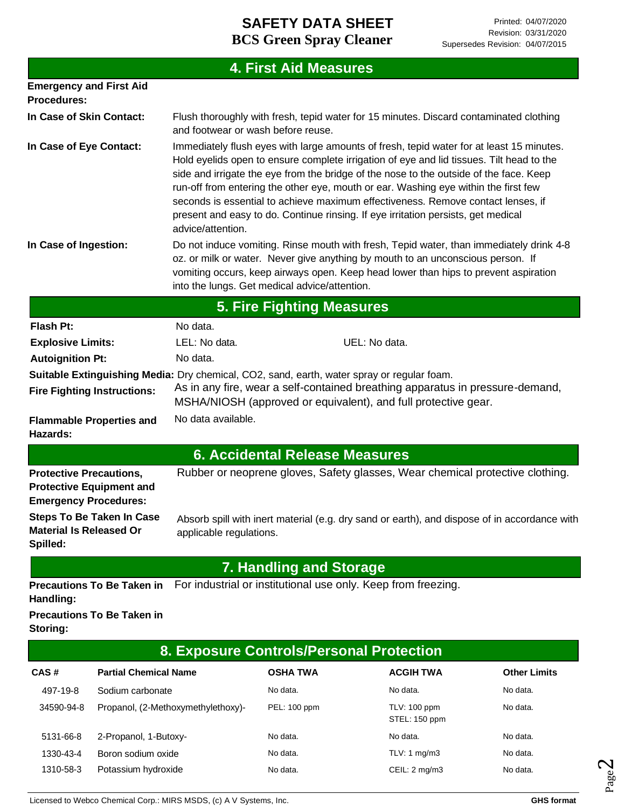|                                                                |                                                                                                                                  |                                                                                                                              | <b>4. First Aid Measures</b>                  |                                                                |                                                                                                                                                                                                                                                                                                                                                                                                                                                                                                                                                |                     |
|----------------------------------------------------------------|----------------------------------------------------------------------------------------------------------------------------------|------------------------------------------------------------------------------------------------------------------------------|-----------------------------------------------|----------------------------------------------------------------|------------------------------------------------------------------------------------------------------------------------------------------------------------------------------------------------------------------------------------------------------------------------------------------------------------------------------------------------------------------------------------------------------------------------------------------------------------------------------------------------------------------------------------------------|---------------------|
| <b>Procedures:</b>                                             | <b>Emergency and First Aid</b>                                                                                                   |                                                                                                                              |                                               |                                                                |                                                                                                                                                                                                                                                                                                                                                                                                                                                                                                                                                |                     |
| In Case of Skin Contact:                                       |                                                                                                                                  | Flush thoroughly with fresh, tepid water for 15 minutes. Discard contaminated clothing<br>and footwear or wash before reuse. |                                               |                                                                |                                                                                                                                                                                                                                                                                                                                                                                                                                                                                                                                                |                     |
| In Case of Eye Contact:                                        |                                                                                                                                  | advice/attention.                                                                                                            |                                               |                                                                | Immediately flush eyes with large amounts of fresh, tepid water for at least 15 minutes.<br>Hold eyelids open to ensure complete irrigation of eye and lid tissues. Tilt head to the<br>side and irrigate the eye from the bridge of the nose to the outside of the face. Keep<br>run-off from entering the other eye, mouth or ear. Washing eye within the first few<br>seconds is essential to achieve maximum effectiveness. Remove contact lenses, if<br>present and easy to do. Continue rinsing. If eye irritation persists, get medical |                     |
| In Case of Ingestion:                                          |                                                                                                                                  |                                                                                                                              | into the lungs. Get medical advice/attention. |                                                                | Do not induce vomiting. Rinse mouth with fresh, Tepid water, than immediately drink 4-8<br>oz. or milk or water. Never give anything by mouth to an unconscious person. If<br>vomiting occurs, keep airways open. Keep head lower than hips to prevent aspiration                                                                                                                                                                                                                                                                              |                     |
|                                                                |                                                                                                                                  |                                                                                                                              | <b>5. Fire Fighting Measures</b>              |                                                                |                                                                                                                                                                                                                                                                                                                                                                                                                                                                                                                                                |                     |
| <b>Flash Pt:</b>                                               |                                                                                                                                  | No data.                                                                                                                     |                                               |                                                                |                                                                                                                                                                                                                                                                                                                                                                                                                                                                                                                                                |                     |
| <b>Explosive Limits:</b>                                       |                                                                                                                                  | LEL: No data.                                                                                                                |                                               | UEL: No data.                                                  |                                                                                                                                                                                                                                                                                                                                                                                                                                                                                                                                                |                     |
| <b>Autoignition Pt:</b>                                        |                                                                                                                                  | No data.                                                                                                                     |                                               |                                                                |                                                                                                                                                                                                                                                                                                                                                                                                                                                                                                                                                |                     |
|                                                                | Suitable Extinguishing Media: Dry chemical, CO2, sand, earth, water spray or regular foam.<br><b>Fire Fighting Instructions:</b> |                                                                                                                              |                                               | MSHA/NIOSH (approved or equivalent), and full protective gear. | As in any fire, wear a self-contained breathing apparatus in pressure-demand,                                                                                                                                                                                                                                                                                                                                                                                                                                                                  |                     |
| Hazards:                                                       | <b>Flammable Properties and</b>                                                                                                  | No data available.                                                                                                           |                                               |                                                                |                                                                                                                                                                                                                                                                                                                                                                                                                                                                                                                                                |                     |
|                                                                |                                                                                                                                  |                                                                                                                              |                                               | <b>6. Accidental Release Measures</b>                          |                                                                                                                                                                                                                                                                                                                                                                                                                                                                                                                                                |                     |
| <b>Protective Precautions,</b><br><b>Emergency Procedures:</b> | <b>Protective Equipment and</b>                                                                                                  |                                                                                                                              |                                               |                                                                | Rubber or neoprene gloves, Safety glasses, Wear chemical protective clothing.                                                                                                                                                                                                                                                                                                                                                                                                                                                                  |                     |
| <b>Material Is Released Or</b><br>Spilled:                     |                                                                                                                                  | applicable regulations.                                                                                                      |                                               |                                                                | Steps To Be Taken In Case Absorb spill with inert material (e.g. dry sand or earth), and dispose of in accordance with                                                                                                                                                                                                                                                                                                                                                                                                                         |                     |
|                                                                |                                                                                                                                  |                                                                                                                              | <b>7. Handling and Storage</b>                |                                                                |                                                                                                                                                                                                                                                                                                                                                                                                                                                                                                                                                |                     |
| Handling:                                                      | <b>Precautions To Be Taken in</b>                                                                                                |                                                                                                                              |                                               | For industrial or institutional use only. Keep from freezing.  |                                                                                                                                                                                                                                                                                                                                                                                                                                                                                                                                                |                     |
| Storing:                                                       | <b>Precautions To Be Taken in</b>                                                                                                |                                                                                                                              |                                               |                                                                |                                                                                                                                                                                                                                                                                                                                                                                                                                                                                                                                                |                     |
|                                                                |                                                                                                                                  |                                                                                                                              |                                               | 8. Exposure Controls/Personal Protection                       |                                                                                                                                                                                                                                                                                                                                                                                                                                                                                                                                                |                     |
| CAS#                                                           | <b>Partial Chemical Name</b>                                                                                                     |                                                                                                                              | <b>OSHA TWA</b>                               |                                                                | <b>ACGIH TWA</b>                                                                                                                                                                                                                                                                                                                                                                                                                                                                                                                               | <b>Other Limits</b> |
| 497-19-8                                                       | Sodium carbonate                                                                                                                 |                                                                                                                              | No data.                                      | No data.                                                       |                                                                                                                                                                                                                                                                                                                                                                                                                                                                                                                                                | No data.            |

34590-94-8 Propanol, (2-Methoxymethylethoxy)- PEL: 100 ppm TLV: 100 ppm

5131-66-8 2-Propanol, 1-Butoxy- No data. No data. No data. 1330-43-4 Boron sodium oxide No data. TLV: 1 mg/m3 No data. 1310-58-3 Potassium hydroxide No data. No data. CEIL: 2 mg/m3 No data.

No data.

STEL: 150 ppm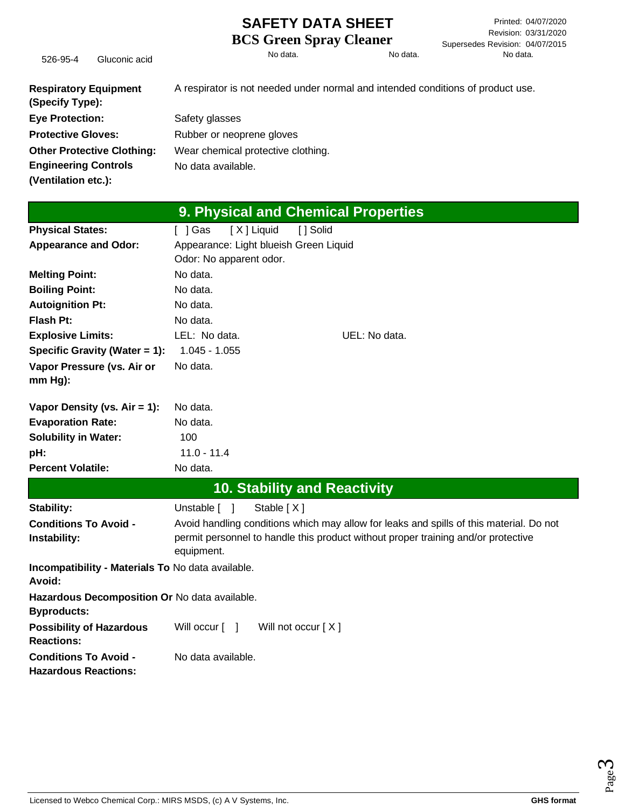Printed: 04/07/2020 Revision: 03/31/2020 Supersedes Revision: 04/07/2015

526-95-4 Gluconic acid No data. No data. No data.

**Respiratory Equipment (Specify Type): Eye Protection: Protective Gloves: Other Protective Clothing: Engineering Controls (Ventilation etc.):** A respirator is not needed under normal and intended conditions of product use. Safety glasses Rubber or neoprene gloves Wear chemical protective clothing. No data available.

|                                                                     | 9. Physical and Chemical Properties                                                     |
|---------------------------------------------------------------------|-----------------------------------------------------------------------------------------|
| <b>Physical States:</b>                                             | [X] Liquid<br>[ ] Solid<br>[ ] Gas                                                      |
| <b>Appearance and Odor:</b>                                         | Appearance: Light blueish Green Liquid                                                  |
|                                                                     | Odor: No apparent odor.                                                                 |
| <b>Melting Point:</b>                                               | No data.                                                                                |
| <b>Boiling Point:</b>                                               | No data.                                                                                |
| <b>Autoignition Pt:</b>                                             | No data.                                                                                |
| <b>Flash Pt:</b>                                                    | No data.                                                                                |
| <b>Explosive Limits:</b>                                            | LEL: No data.<br>UEL: No data.                                                          |
| Specific Gravity (Water = 1):                                       | $1.045 - 1.055$                                                                         |
| Vapor Pressure (vs. Air or                                          | No data.                                                                                |
| $mm Hg$ :                                                           |                                                                                         |
| Vapor Density (vs. $Air = 1$ ):                                     | No data.                                                                                |
| <b>Evaporation Rate:</b>                                            | No data.                                                                                |
| <b>Solubility in Water:</b>                                         | 100                                                                                     |
| pH:                                                                 | $11.0 - 11.4$                                                                           |
| <b>Percent Volatile:</b>                                            | No data.                                                                                |
|                                                                     | <b>10. Stability and Reactivity</b>                                                     |
| Stability:                                                          | Stable [X]<br>Unstable [ ]                                                              |
| <b>Conditions To Avoid -</b>                                        | Avoid handling conditions which may allow for leaks and spills of this material. Do not |
| Instability:                                                        | permit personnel to handle this product without proper training and/or protective       |
|                                                                     | equipment.                                                                              |
| Incompatibility - Materials To No data available.<br>Avoid:         |                                                                                         |
| Hazardous Decomposition Or No data available.<br><b>Byproducts:</b> |                                                                                         |
| <b>Possibility of Hazardous</b><br><b>Reactions:</b>                | Will occur [ ]<br>Will not occur $[X]$                                                  |
| <b>Conditions To Avoid -</b><br><b>Hazardous Reactions:</b>         | No data available.                                                                      |

Page ო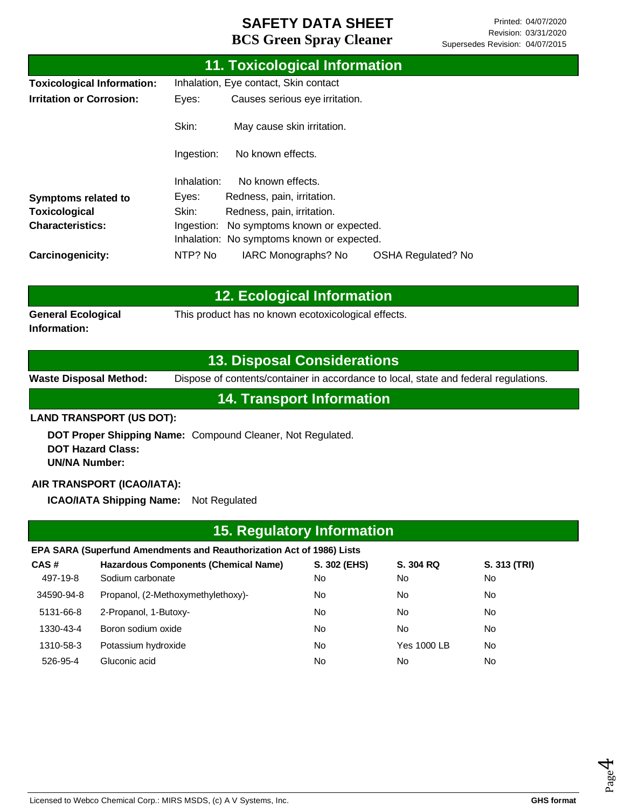|                                   |                                       | 11. Toxicological Information              |                           |  |
|-----------------------------------|---------------------------------------|--------------------------------------------|---------------------------|--|
| <b>Toxicological Information:</b> | Inhalation, Eye contact, Skin contact |                                            |                           |  |
| <b>Irritation or Corrosion:</b>   | Eyes:                                 | Causes serious eye irritation.             |                           |  |
|                                   | Skin:                                 | May cause skin irritation.                 |                           |  |
|                                   | Ingestion:                            | No known effects.                          |                           |  |
|                                   | Inhalation:                           | No known effects.                          |                           |  |
| <b>Symptoms related to</b>        | Eyes:                                 | Redness, pain, irritation.                 |                           |  |
| Toxicological                     | Skin:                                 | Redness, pain, irritation.                 |                           |  |
| <b>Characteristics:</b>           | Ingestion:                            | No symptoms known or expected.             |                           |  |
|                                   |                                       | Inhalation: No symptoms known or expected. |                           |  |
| Carcinogenicity:                  | NTP? No                               | IARC Monographs? No                        | <b>OSHA Regulated? No</b> |  |

|                                           | <b>12. Ecological Information</b>                   |  |
|-------------------------------------------|-----------------------------------------------------|--|
| <b>General Ecological</b><br>Information: | This product has no known ecotoxicological effects. |  |

### **13. Disposal Considerations**

**Waste Disposal Method:** Dispose of contents/container in accordance to local, state and federal regulations.

**14. Transport Information**

#### **LAND TRANSPORT (US DOT):**

**DOT Proper Shipping Name:**  Compound Cleaner, Not Regulated. **DOT Hazard Class: UN/NA Number:**

#### **AIR TRANSPORT (ICAO/IATA):**

**ICAO/IATA Shipping Name:** Not Regulated

| <b>15. Regulatory Information</b> |                                                                       |              |             |              |  |  |
|-----------------------------------|-----------------------------------------------------------------------|--------------|-------------|--------------|--|--|
|                                   | EPA SARA (Superfund Amendments and Reauthorization Act of 1986) Lists |              |             |              |  |  |
| CAS#                              | <b>Hazardous Components (Chemical Name)</b>                           | S. 302 (EHS) | S. 304 RQ   | S. 313 (TRI) |  |  |
| 497-19-8                          | Sodium carbonate                                                      | No.          | No.         | No.          |  |  |
| 34590-94-8                        | Propanol, (2-Methoxymethylethoxy)-                                    | No.          | No.         | No.          |  |  |
| 5131-66-8                         | 2-Propanol, 1-Butoxy-                                                 | No           | No.         | No.          |  |  |
| 1330-43-4                         | Boron sodium oxide                                                    | No.          | No.         | No.          |  |  |
| 1310-58-3                         | Potassium hydroxide                                                   | No.          | Yes 1000 LB | No.          |  |  |
| 526-95-4                          | Gluconic acid                                                         | No           | No.         | No.          |  |  |